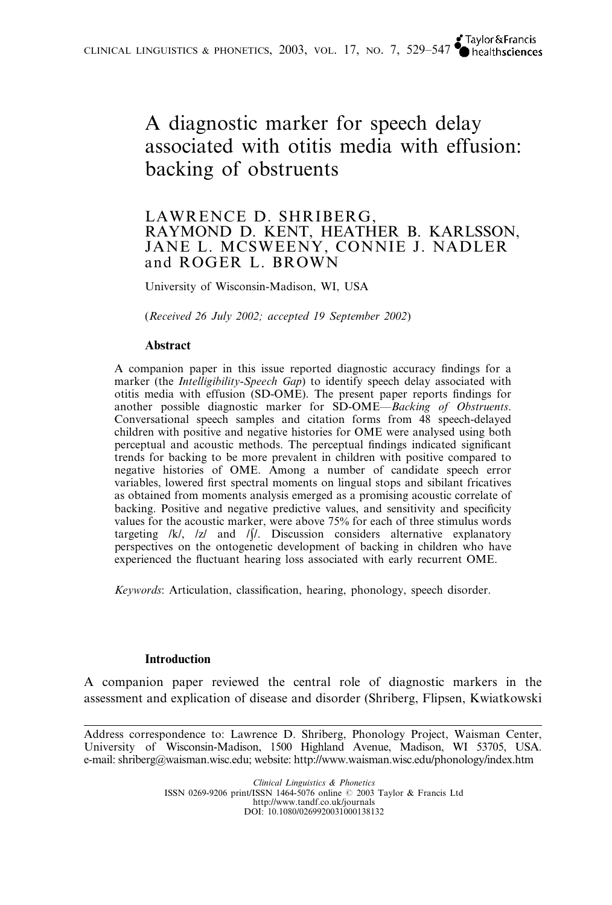CLINICAL LINGUISTICS & PHONETICS, 2003, VOL. 17, NO. 7, 529-547 Chealthsciences

# A diagnostic marker for speech delay associated with otitis media with effusion: backing of obstruents

## LAWRENCE D. SHRIBERG, RAYMOND D. KENT, HEATHER B. KARLSSON, JANE L. MCSWEENY, CONNIE J. NADLER and ROGER L. BROWN

University of Wisconsin-Madison, WI, USA

(Received 26 July 2002; accepted 19 September 2002)

## Abstract

A companion paper in this issue reported diagnostic accuracy findings for a marker (the *Intelligibility-Speech Gap*) to identify speech delay associated with otitis media with effusion (SD-OME). The present paper reports findings for another possible diagnostic marker for SD-OME—Backing of Obstruents. Conversational speech samples and citation forms from 48 speech-delayed children with positive and negative histories for OME were analysed using both perceptual and acoustic methods. The perceptual findings indicated significant trends for backing to be more prevalent in children with positive compared to negative histories of OME. Among a number of candidate speech error variables, lowered first spectral moments on lingual stops and sibilant fricatives as obtained from moments analysis emerged as a promising acoustic correlate of backing. Positive and negative predictive values, and sensitivity and specificity values for the acoustic marker, were above 75% for each of three stimulus words targeting  $/k$ ,  $|z|$  and  $/k$ . Discussion considers alternative explanatory perspectives on the ontogenetic development of backing in children who have experienced the fluctuant hearing loss associated with early recurrent OME.

Keywords: Articulation, classification, hearing, phonology, speech disorder.

## Introduction

A companion paper reviewed the central role of diagnostic markers in the assessment and explication of disease and disorder (Shriberg, Flipsen, Kwiatkowski

Clinical Linguistics & Phonetics ISSN 0269-9206 print/ISSN 1464-5076 online © 2003 Taylor & Francis Ltd http://www.tandf.co.uk/journals DOI: 10.1080/0269920031000138132

Address correspondence to: Lawrence D. Shriberg, Phonology Project, Waisman Center, University of Wisconsin-Madison, 1500 Highland Avenue, Madison, WI 53705, USA. e-mail: shriberg@waisman.wisc.edu; website: http://www.waisman.wisc.edu/phonology/index.htm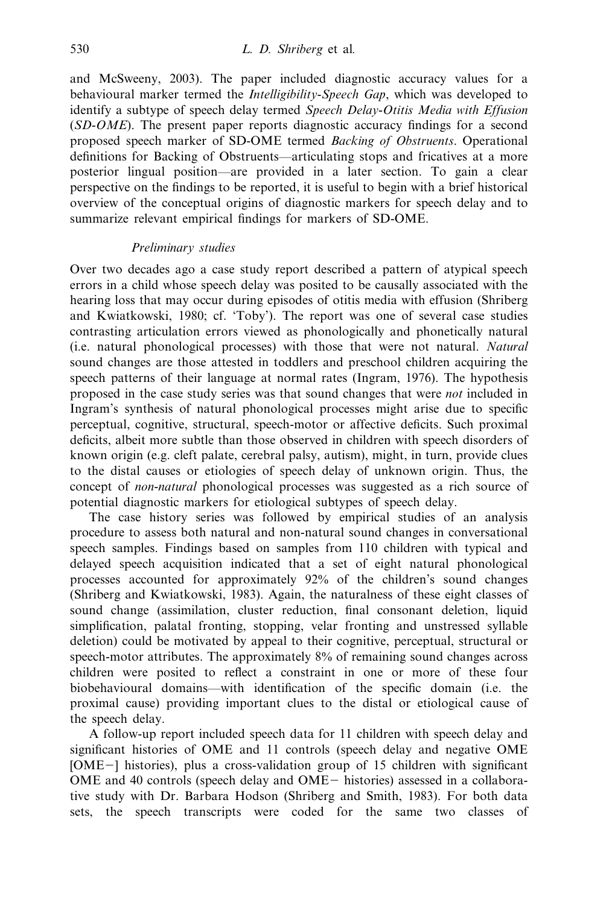and McSweeny, 2003). The paper included diagnostic accuracy values for a behavioural marker termed the Intelligibility-Speech Gap, which was developed to identify a subtype of speech delay termed Speech Delay-Otitis Media with Effusion (SD-OME). The present paper reports diagnostic accuracy findings for a second proposed speech marker of SD-OME termed Backing of Obstruents. Operational definitions for Backing of Obstruents—articulating stops and fricatives at a more posterior lingual position—are provided in a later section. To gain a clear perspective on the findings to be reported, it is useful to begin with a brief historical overview of the conceptual origins of diagnostic markers for speech delay and to summarize relevant empirical findings for markers of SD-OME.

## Preliminary studies

Over two decades ago a case study report described a pattern of atypical speech errors in a child whose speech delay was posited to be causally associated with the hearing loss that may occur during episodes of otitis media with effusion (Shriberg and Kwiatkowski, 1980; cf. 'Toby'). The report was one of several case studies contrasting articulation errors viewed as phonologically and phonetically natural (i.e. natural phonological processes) with those that were not natural. Natural sound changes are those attested in toddlers and preschool children acquiring the speech patterns of their language at normal rates (Ingram, 1976). The hypothesis proposed in the case study series was that sound changes that were not included in Ingram's synthesis of natural phonological processes might arise due to specific perceptual, cognitive, structural, speech-motor or affective deficits. Such proximal deficits, albeit more subtle than those observed in children with speech disorders of known origin (e.g. cleft palate, cerebral palsy, autism), might, in turn, provide clues to the distal causes or etiologies of speech delay of unknown origin. Thus, the concept of non-natural phonological processes was suggested as a rich source of potential diagnostic markers for etiological subtypes of speech delay.

The case history series was followed by empirical studies of an analysis procedure to assess both natural and non-natural sound changes in conversational speech samples. Findings based on samples from 110 children with typical and delayed speech acquisition indicated that a set of eight natural phonological processes accounted for approximately 92% of the children's sound changes (Shriberg and Kwiatkowski, 1983). Again, the naturalness of these eight classes of sound change (assimilation, cluster reduction, final consonant deletion, liquid simplification, palatal fronting, stopping, velar fronting and unstressed syllable deletion) could be motivated by appeal to their cognitive, perceptual, structural or speech-motor attributes. The approximately 8% of remaining sound changes across children were posited to reflect a constraint in one or more of these four biobehavioural domains—with identification of the specific domain (i.e. the proximal cause) providing important clues to the distal or etiological cause of the speech delay.

A follow-up report included speech data for 11 children with speech delay and significant histories of OME and 11 controls (speech delay and negative OME  $[OME-]$  histories), plus a cross-validation group of 15 children with significant OME and 40 controls (speech delay and OME $-$  histories) assessed in a collaborative study with Dr. Barbara Hodson (Shriberg and Smith, 1983). For both data sets, the speech transcripts were coded for the same two classes of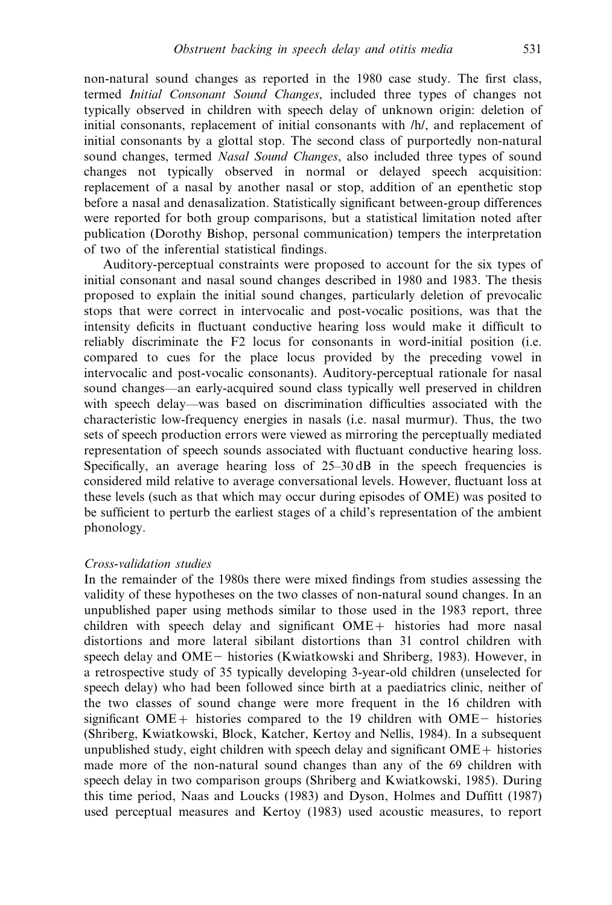non-natural sound changes as reported in the 1980 case study. The first class, termed Initial Consonant Sound Changes, included three types of changes not typically observed in children with speech delay of unknown origin: deletion of initial consonants, replacement of initial consonants with /h/, and replacement of initial consonants by a glottal stop. The second class of purportedly non-natural sound changes, termed *Nasal Sound Changes*, also included three types of sound changes not typically observed in normal or delayed speech acquisition: replacement of a nasal by another nasal or stop, addition of an epenthetic stop before a nasal and denasalization. Statistically significant between-group differences were reported for both group comparisons, but a statistical limitation noted after publication (Dorothy Bishop, personal communication) tempers the interpretation of two of the inferential statistical findings.

Auditory-perceptual constraints were proposed to account for the six types of initial consonant and nasal sound changes described in 1980 and 1983. The thesis proposed to explain the initial sound changes, particularly deletion of prevocalic stops that were correct in intervocalic and post-vocalic positions, was that the intensity deficits in fluctuant conductive hearing loss would make it difficult to reliably discriminate the F2 locus for consonants in word-initial position (i.e. compared to cues for the place locus provided by the preceding vowel in intervocalic and post-vocalic consonants). Auditory-perceptual rationale for nasal sound changes—an early-acquired sound class typically well preserved in children with speech delay—was based on discrimination difficulties associated with the characteristic low-frequency energies in nasals (i.e. nasal murmur). Thus, the two sets of speech production errors were viewed as mirroring the perceptually mediated representation of speech sounds associated with fluctuant conductive hearing loss. Specifically, an average hearing loss of  $25-30$  dB in the speech frequencies is considered mild relative to average conversational levels. However, fluctuant loss at these levels (such as that which may occur during episodes of OME) was posited to be sufficient to perturb the earliest stages of a child's representation of the ambient phonology.

## Cross-validation studies

In the remainder of the 1980s there were mixed findings from studies assessing the validity of these hypotheses on the two classes of non-natural sound changes. In an unpublished paper using methods similar to those used in the 1983 report, three children with speech delay and significant  $OME +$  histories had more nasal distortions and more lateral sibilant distortions than 31 control children with speech delay and OME – histories (Kwiatkowski and Shriberg, 1983). However, in a retrospective study of 35 typically developing 3-year-old children (unselected for speech delay) who had been followed since birth at a paediatrics clinic, neither of the two classes of sound change were more frequent in the 16 children with significant  $OME$  histories compared to the 19 children with  $OME$  histories (Shriberg, Kwiatkowski, Block, Katcher, Kertoy and Nellis, 1984). In a subsequent unpublished study, eight children with speech delay and significant  $\text{OME}$  + histories made more of the non-natural sound changes than any of the 69 children with speech delay in two comparison groups (Shriberg and Kwiatkowski, 1985). During this time period, Naas and Loucks (1983) and Dyson, Holmes and Duffitt (1987) used perceptual measures and Kertoy (1983) used acoustic measures, to report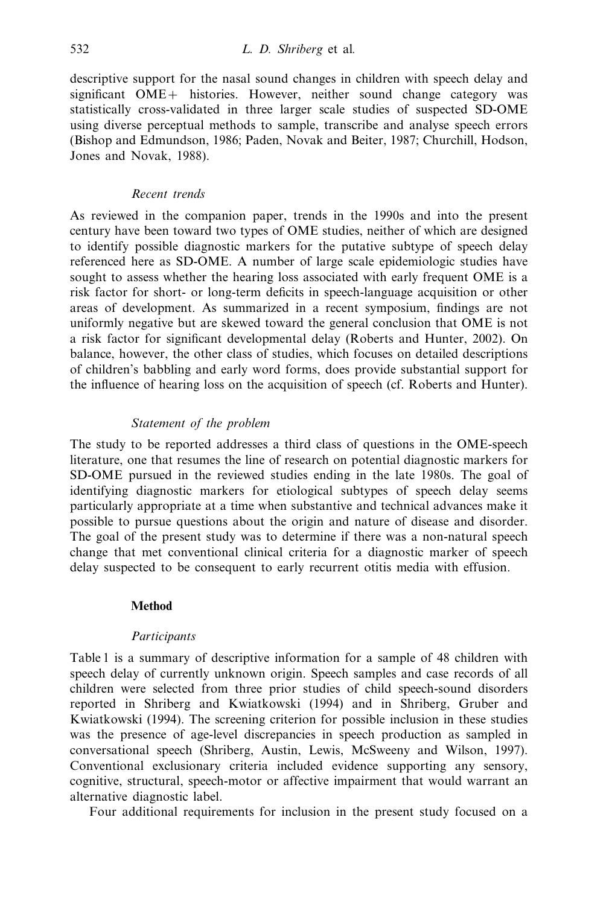descriptive support for the nasal sound changes in children with speech delay and significant  $OME +$  histories. However, neither sound change category was statistically cross-validated in three larger scale studies of suspected SD-OME using diverse perceptual methods to sample, transcribe and analyse speech errors (Bishop and Edmundson, 1986; Paden, Novak and Beiter, 1987; Churchill, Hodson, Jones and Novak, 1988).

## Recent trends

As reviewed in the companion paper, trends in the 1990s and into the present century have been toward two types of OME studies, neither of which are designed to identify possible diagnostic markers for the putative subtype of speech delay referenced here as SD-OME. A number of large scale epidemiologic studies have sought to assess whether the hearing loss associated with early frequent OME is a risk factor for short- or long-term deficits in speech-language acquisition or other areas of development. As summarized in a recent symposium, findings are not uniformly negative but are skewed toward the general conclusion that OME is not a risk factor for significant developmental delay (Roberts and Hunter, 2002). On balance, however, the other class of studies, which focuses on detailed descriptions of children's babbling and early word forms, does provide substantial support for the influence of hearing loss on the acquisition of speech (cf. Roberts and Hunter).

### Statement of the problem

The study to be reported addresses a third class of questions in the OME-speech literature, one that resumes the line of research on potential diagnostic markers for SD-OME pursued in the reviewed studies ending in the late 1980s. The goal of identifying diagnostic markers for etiological subtypes of speech delay seems particularly appropriate at a time when substantive and technical advances make it possible to pursue questions about the origin and nature of disease and disorder. The goal of the present study was to determine if there was a non-natural speech change that met conventional clinical criteria for a diagnostic marker of speech delay suspected to be consequent to early recurrent otitis media with effusion.

#### Method

## Participants

Table 1 is a summary of descriptive information for a sample of 48 children with speech delay of currently unknown origin. Speech samples and case records of all children were selected from three prior studies of child speech-sound disorders reported in Shriberg and Kwiatkowski (1994) and in Shriberg, Gruber and Kwiatkowski (1994). The screening criterion for possible inclusion in these studies was the presence of age-level discrepancies in speech production as sampled in conversational speech (Shriberg, Austin, Lewis, McSweeny and Wilson, 1997). Conventional exclusionary criteria included evidence supporting any sensory, cognitive, structural, speech-motor or affective impairment that would warrant an alternative diagnostic label.

Four additional requirements for inclusion in the present study focused on a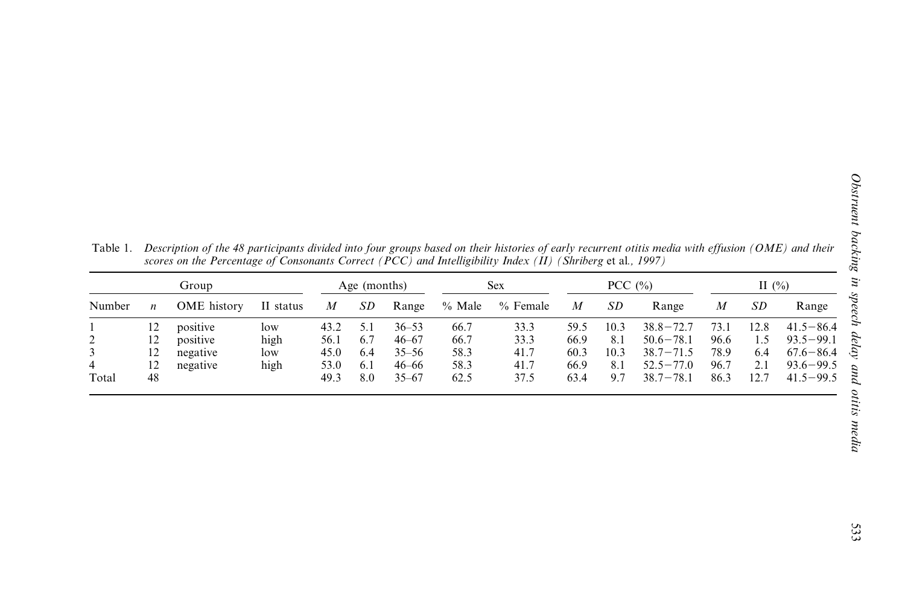Table 1. Description of the 48 participants divided into four groups based on their histories of early recurrent otitis media with effusion (OME) and their scores on the Percentage of Consonants Correct (PCC) and Intelligibility Index (II) (Shriberg et al., 1997)

| Group  |                  |             |           | Age (months) |     | <b>Sex</b> |        | PCC $(\% )$ |      |      | II $(\%)$     |      |      |               |
|--------|------------------|-------------|-----------|--------------|-----|------------|--------|-------------|------|------|---------------|------|------|---------------|
| Number | $\boldsymbol{n}$ | OME history | II status | M            | SD  | Range      | % Male | % Female    | M    | SD   | Range         | M    | SD.  | Range         |
|        | 12 <sup>2</sup>  | positive    | low       | 43.2         | 5.1 | $36 - 53$  | 66.7   | 33.3        | 59.5 | 10.3 | $38.8 - 72.7$ | 73.1 | 12.8 | $41.5 - 86.4$ |
| 2      | 12               | positive    | high      | 56.1         | 6.7 | $46 - 67$  | 66.7   | 33.3        | 66.9 | 8.1  | $50.6 - 78.1$ | 96.6 | 1.5  | $93.5 - 99.1$ |
| 3      | 12               | negative    | low       | 45.0         | 6.4 | $35 - 56$  | 58.3   | 41.7        | 60.3 | 10.3 | $38.7 - 71.5$ | 78.9 | 6.4  | $67.6 - 86.4$ |
| 4      | 12               | negative    | high      | 53.0         | 6.1 | $46 - 66$  | 58.3   | 41.7        | 66.9 | 8.1  | $52.5 - 77.0$ | 96.7 | 2.1  | $93.6 - 99.5$ |
| Total  | 48               |             |           | 49.3         | 8.0 | $35 - 67$  | 62.5   | 37.5        | 63.4 | 9.7  | $38.7 - 78.1$ | 86.3 | 12.7 | $41.5 - 99.5$ |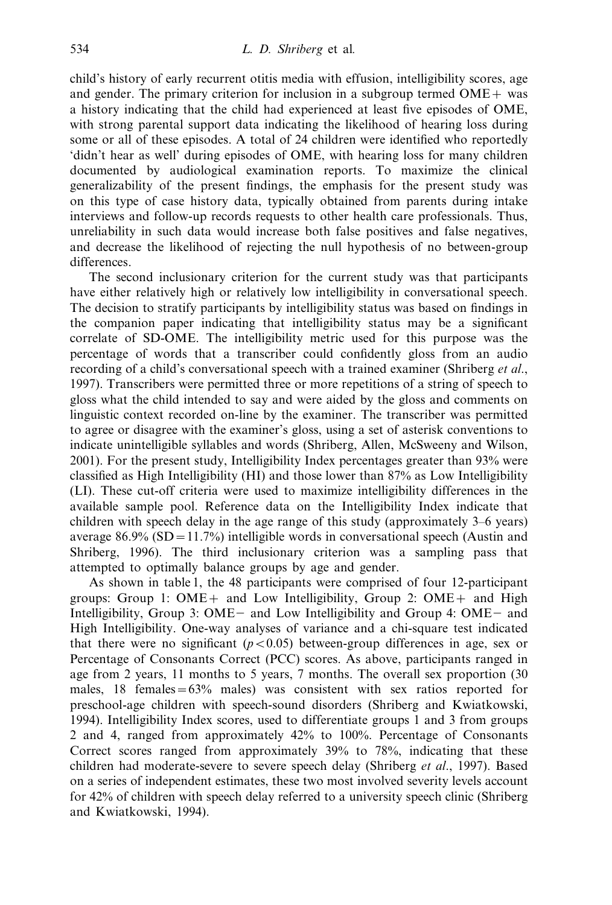child's history of early recurrent otitis media with effusion, intelligibility scores, age and gender. The primary criterion for inclusion in a subgroup termed  $OME +$  was a history indicating that the child had experienced at least five episodes of OME, with strong parental support data indicating the likelihood of hearing loss during some or all of these episodes. A total of 24 children were identified who reportedly 'didn't hear as well' during episodes of OME, with hearing loss for many children documented by audiological examination reports. To maximize the clinical generalizability of the present findings, the emphasis for the present study was on this type of case history data, typically obtained from parents during intake interviews and follow-up records requests to other health care professionals. Thus, unreliability in such data would increase both false positives and false negatives, and decrease the likelihood of rejecting the null hypothesis of no between-group differences.

The second inclusionary criterion for the current study was that participants have either relatively high or relatively low intelligibility in conversational speech. The decision to stratify participants by intelligibility status was based on findings in the companion paper indicating that intelligibility status may be a significant correlate of SD-OME. The intelligibility metric used for this purpose was the percentage of words that a transcriber could confidently gloss from an audio recording of a child's conversational speech with a trained examiner (Shriberg *et al.*, 1997). Transcribers were permitted three or more repetitions of a string of speech to gloss what the child intended to say and were aided by the gloss and comments on linguistic context recorded on-line by the examiner. The transcriber was permitted to agree or disagree with the examiner's gloss, using a set of asterisk conventions to indicate unintelligible syllables and words (Shriberg, Allen, McSweeny and Wilson, 2001). For the present study, Intelligibility Index percentages greater than 93% were classified as High Intelligibility (HI) and those lower than 87% as Low Intelligibility (LI). These cut-off criteria were used to maximize intelligibility differences in the available sample pool. Reference data on the Intelligibility Index indicate that children with speech delay in the age range of this study (approximately 3–6 years) average 86.9% (SD = 11.7%) intelligible words in conversational speech (Austin and Shriberg, 1996). The third inclusionary criterion was a sampling pass that attempted to optimally balance groups by age and gender.

As shown in table 1, the 48 participants were comprised of four 12-participant groups: Group 1:  $OME+$  and Low Intelligibility, Group 2:  $OME+$  and High Intelligibility, Group 3: OME  $-$  and Low Intelligibility and Group 4: OME $-$  and High Intelligibility. One-way analyses of variance and a chi-square test indicated that there were no significant  $(p<0.05)$  between-group differences in age, sex or Percentage of Consonants Correct (PCC) scores. As above, participants ranged in age from 2 years, 11 months to 5 years, 7 months. The overall sex proportion (30 males, 18 females  $=63\%$  males) was consistent with sex ratios reported for preschool-age children with speech-sound disorders (Shriberg and Kwiatkowski, 1994). Intelligibility Index scores, used to differentiate groups 1 and 3 from groups 2 and 4, ranged from approximately 42% to 100%. Percentage of Consonants Correct scores ranged from approximately 39% to 78%, indicating that these children had moderate-severe to severe speech delay (Shriberg et al., 1997). Based on a series of independent estimates, these two most involved severity levels account for 42% of children with speech delay referred to a university speech clinic (Shriberg and Kwiatkowski, 1994).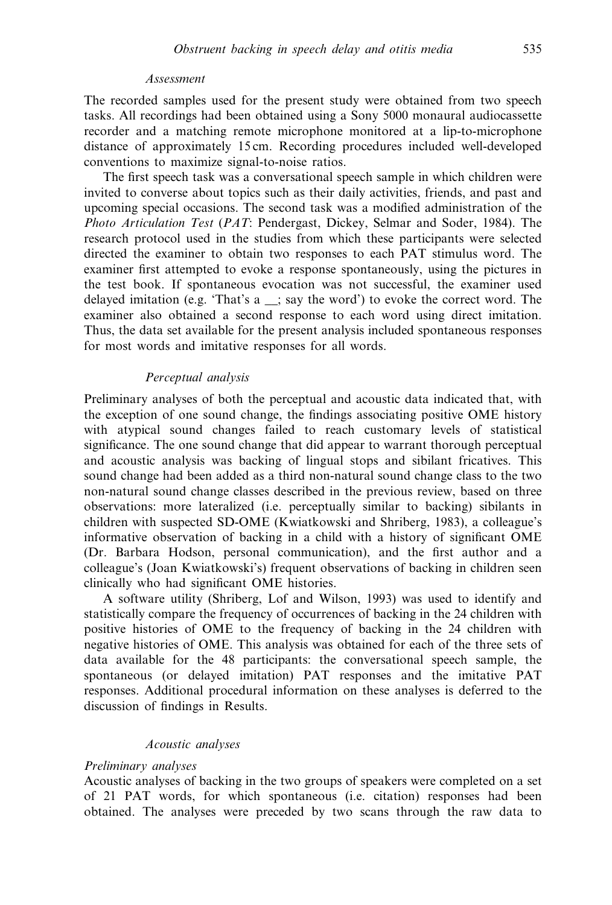#### Assessment

The recorded samples used for the present study were obtained from two speech tasks. All recordings had been obtained using a Sony 5000 monaural audiocassette recorder and a matching remote microphone monitored at a lip-to-microphone distance of approximately 15 cm. Recording procedures included well-developed conventions to maximize signal-to-noise ratios.

The first speech task was a conversational speech sample in which children were invited to converse about topics such as their daily activities, friends, and past and upcoming special occasions. The second task was a modified administration of the Photo Articulation Test (PAT: Pendergast, Dickey, Selmar and Soder, 1984). The research protocol used in the studies from which these participants were selected directed the examiner to obtain two responses to each PAT stimulus word. The examiner first attempted to evoke a response spontaneously, using the pictures in the test book. If spontaneous evocation was not successful, the examiner used delayed imitation (e.g. 'That's a \_\_; say the word') to evoke the correct word. The examiner also obtained a second response to each word using direct imitation. Thus, the data set available for the present analysis included spontaneous responses for most words and imitative responses for all words.

#### Perceptual analysis

Preliminary analyses of both the perceptual and acoustic data indicated that, with the exception of one sound change, the findings associating positive OME history with atypical sound changes failed to reach customary levels of statistical significance. The one sound change that did appear to warrant thorough perceptual and acoustic analysis was backing of lingual stops and sibilant fricatives. This sound change had been added as a third non-natural sound change class to the two non-natural sound change classes described in the previous review, based on three observations: more lateralized (i.e. perceptually similar to backing) sibilants in children with suspected SD-OME (Kwiatkowski and Shriberg, 1983), a colleague's informative observation of backing in a child with a history of significant OME (Dr. Barbara Hodson, personal communication), and the first author and a colleague's (Joan Kwiatkowski's) frequent observations of backing in children seen clinically who had significant OME histories.

A software utility (Shriberg, Lof and Wilson, 1993) was used to identify and statistically compare the frequency of occurrences of backing in the 24 children with positive histories of OME to the frequency of backing in the 24 children with negative histories of OME. This analysis was obtained for each of the three sets of data available for the 48 participants: the conversational speech sample, the spontaneous (or delayed imitation) PAT responses and the imitative PAT responses. Additional procedural information on these analyses is deferred to the discussion of findings in Results.

## Acoustic analyses

#### Preliminary analyses

Acoustic analyses of backing in the two groups of speakers were completed on a set of 21 PAT words, for which spontaneous (i.e. citation) responses had been obtained. The analyses were preceded by two scans through the raw data to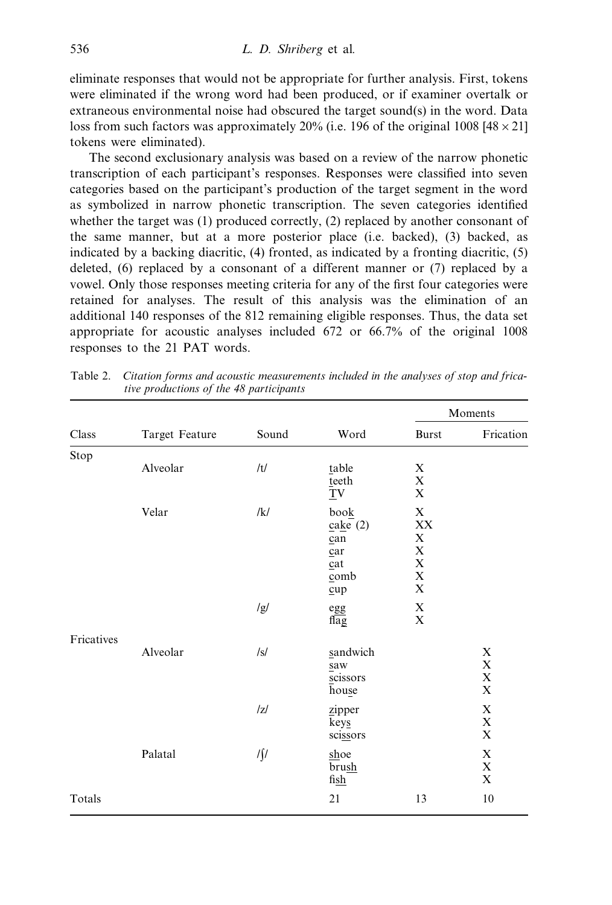eliminate responses that would not be appropriate for further analysis. First, tokens were eliminated if the wrong word had been produced, or if examiner overtalk or extraneous environmental noise had obscured the target sound(s) in the word. Data loss from such factors was approximately 20% (i.e. 196 of the original 1008  $[48 \times 21]$ tokens were eliminated).

The second exclusionary analysis was based on a review of the narrow phonetic transcription of each participant's responses. Responses were classified into seven categories based on the participant's production of the target segment in the word as symbolized in narrow phonetic transcription. The seven categories identified whether the target was (1) produced correctly, (2) replaced by another consonant of the same manner, but at a more posterior place (i.e. backed), (3) backed, as indicated by a backing diacritic, (4) fronted, as indicated by a fronting diacritic, (5) deleted, (6) replaced by a consonant of a different manner or (7) replaced by a vowel. Only those responses meeting criteria for any of the first four categories were retained for analyses. The result of this analysis was the elimination of an additional 140 responses of the 812 remaining eligible responses. Thus, the data set appropriate for acoustic analyses included 672 or 66.7% of the original 1008 responses to the 21 PAT words.

|            |                |        |                                                              | Moments                                                                                                               |                                                |  |
|------------|----------------|--------|--------------------------------------------------------------|-----------------------------------------------------------------------------------------------------------------------|------------------------------------------------|--|
| Class      | Target Feature | Sound  | Word                                                         | <b>Burst</b>                                                                                                          | Frication                                      |  |
| Stop       | Alveolar       | /t/    | table<br>teeth<br>TV                                         | $\mathbf X$<br>$\mathbf X$<br>$\mathbf X$                                                                             |                                                |  |
|            | Velar          | /k/    | book<br>$\text{calc}(2)$<br>can<br>car<br>cat<br>comb<br>cup | $\boldsymbol{\mathrm{X}}$<br>$\mathbf{XX}$<br>$\mathbf X$<br>$\mathbf X$<br>$\mathbf X$<br>$\mathbf X$<br>$\mathbf X$ |                                                |  |
|            |                | /g/    | egg<br>flag                                                  | X<br>$\mathbf X$                                                                                                      |                                                |  |
| Fricatives | Alveolar       | /s/    | sandwich<br>saw<br>scissors<br>house                         |                                                                                                                       | X<br>$\mathbf X$<br>$\mathbf X$<br>$\mathbf X$ |  |
|            |                | z      | zipper<br>keys<br>scissors                                   |                                                                                                                       | X<br>$\mathbf X$<br>$\mathbf X$                |  |
|            | Palatal        | $\int$ | shoe<br>brush<br>fish                                        |                                                                                                                       | X<br>$\mathbf X$<br>$\mathbf X$                |  |
| Totals     |                |        | 21                                                           | 13                                                                                                                    | 10                                             |  |

Table 2. Citation forms and acoustic measurements included in the analyses of stop and fricative productions of the 48 participants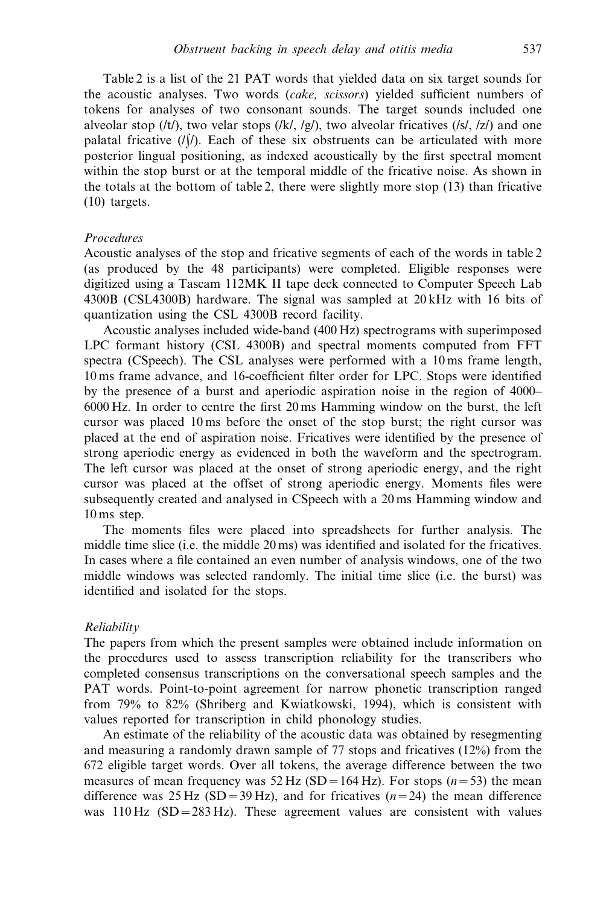Table 2 is a list of the 21 PAT words that yielded data on six target sounds for the acoustic analyses. Two words (cake, scissors) yielded sufficient numbers of tokens for analyses of two consonant sounds. The target sounds included one alveolar stop (/t/), two velar stops (/k/, /g/), two alveolar fricatives (/s/, /z/) and one palatal fricative  $\langle \hat{\ell} \rangle$ . Each of these six obstruents can be articulated with more posterior lingual positioning, as indexed acoustically by the first spectral moment within the stop burst or at the temporal middle of the fricative noise. As shown in the totals at the bottom of table 2, there were slightly more stop (13) than fricative (10) targets.

#### Procedures

Acoustic analyses of the stop and fricative segments of each of the words in table 2 (as produced by the 48 participants) were completed. Eligible responses were digitized using a Tascam 112MK II tape deck connected to Computer Speech Lab 4300B (CSL4300B) hardware. The signal was sampled at 20 kHz with 16 bits of quantization using the CSL 4300B record facility.

Acoustic analyses included wide-band (400 Hz) spectrograms with superimposed LPC formant history (CSL 4300B) and spectral moments computed from FFT spectra (CSpeech). The CSL analyses were performed with a 10 ms frame length, 10 ms frame advance, and 16-coefficient filter order for LPC. Stops were identified by the presence of a burst and aperiodic aspiration noise in the region of 4000– 6000 Hz. In order to centre the first 20 ms Hamming window on the burst, the left cursor was placed 10 ms before the onset of the stop burst; the right cursor was placed at the end of aspiration noise. Fricatives were identified by the presence of strong aperiodic energy as evidenced in both the waveform and the spectrogram. The left cursor was placed at the onset of strong aperiodic energy, and the right cursor was placed at the offset of strong aperiodic energy. Moments files were subsequently created and analysed in CSpeech with a 20 ms Hamming window and 10 ms step.

The moments files were placed into spreadsheets for further analysis. The middle time slice (i.e. the middle 20 ms) was identified and isolated for the fricatives. In cases where a file contained an even number of analysis windows, one of the two middle windows was selected randomly. The initial time slice (i.e. the burst) was identified and isolated for the stops.

#### Reliability

The papers from which the present samples were obtained include information on the procedures used to assess transcription reliability for the transcribers who completed consensus transcriptions on the conversational speech samples and the PAT words. Point-to-point agreement for narrow phonetic transcription ranged from 79% to 82% (Shriberg and Kwiatkowski, 1994), which is consistent with values reported for transcription in child phonology studies.

An estimate of the reliability of the acoustic data was obtained by resegmenting and measuring a randomly drawn sample of 77 stops and fricatives (12%) from the 672 eligible target words. Over all tokens, the average difference between the two measures of mean frequency was  $52$  Hz (SD = 164 Hz). For stops (n = 53) the mean difference was  $25$  Hz (SD = 39 Hz), and for fricatives (n=24) the mean difference was  $110 \text{ Hz}$  (SD = 283 Hz). These agreement values are consistent with values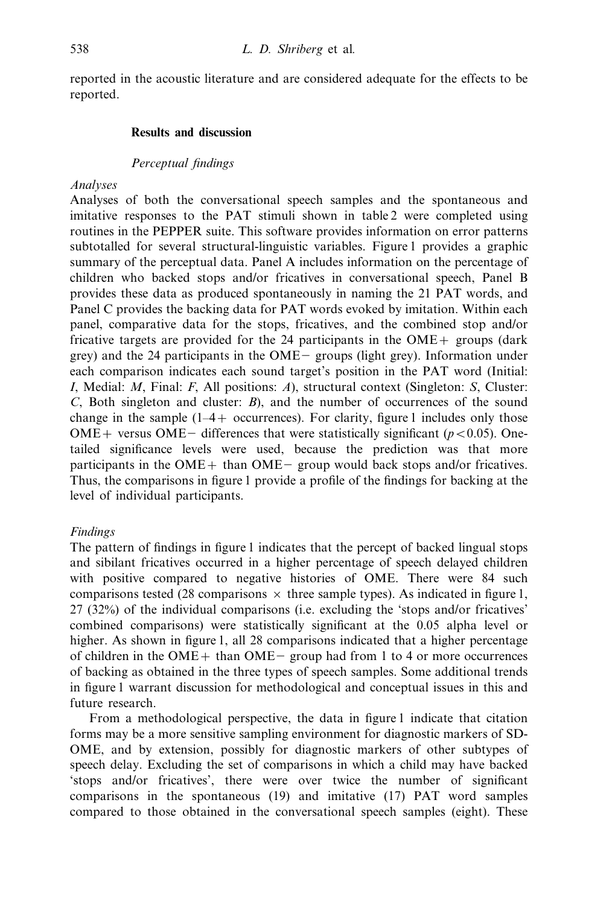reported in the acoustic literature and are considered adequate for the effects to be reported.

#### Results and discussion

#### Perceptual findings

## Analyses

Analyses of both the conversational speech samples and the spontaneous and imitative responses to the PAT stimuli shown in table 2 were completed using routines in the PEPPER suite. This software provides information on error patterns subtotalled for several structural-linguistic variables. Figure 1 provides a graphic summary of the perceptual data. Panel A includes information on the percentage of children who backed stops and/or fricatives in conversational speech, Panel B provides these data as produced spontaneously in naming the 21 PAT words, and Panel C provides the backing data for PAT words evoked by imitation. Within each panel, comparative data for the stops, fricatives, and the combined stop and/or fricative targets are provided for the 24 participants in the  $\text{OME}+$  groups (dark grey) and the 24 participants in the OME $-$  groups (light grey). Information under each comparison indicates each sound target's position in the PAT word (Initial: I, Medial:  $M$ , Final:  $F$ , All positions:  $A$ ), structural context (Singleton:  $S$ , Cluster:  $C$ , Both singleton and cluster:  $B$ ), and the number of occurrences of the sound change in the sample  $(1-4+$  occurrences). For clarity, figure 1 includes only those OME + versus OME - differences that were statistically significant ( $p < 0.05$ ). Onetailed significance levels were used, because the prediction was that more participants in the OME+ than OME- group would back stops and/or fricatives. Thus, the comparisons in figure 1 provide a profile of the findings for backing at the level of individual participants.

#### Findings

The pattern of findings in figure 1 indicates that the percept of backed lingual stops and sibilant fricatives occurred in a higher percentage of speech delayed children with positive compared to negative histories of OME. There were 84 such comparisons tested (28 comparisons  $\times$  three sample types). As indicated in figure 1, 27 (32%) of the individual comparisons (i.e. excluding the 'stops and/or fricatives' combined comparisons) were statistically significant at the 0.05 alpha level or higher. As shown in figure 1, all 28 comparisons indicated that a higher percentage of children in the OME+ than OME- group had from 1 to 4 or more occurrences of backing as obtained in the three types of speech samples. Some additional trends in figure 1 warrant discussion for methodological and conceptual issues in this and future research.

From a methodological perspective, the data in figure 1 indicate that citation forms may be a more sensitive sampling environment for diagnostic markers of SD-OME, and by extension, possibly for diagnostic markers of other subtypes of speech delay. Excluding the set of comparisons in which a child may have backed 'stops and/or fricatives', there were over twice the number of significant comparisons in the spontaneous (19) and imitative (17) PAT word samples compared to those obtained in the conversational speech samples (eight). These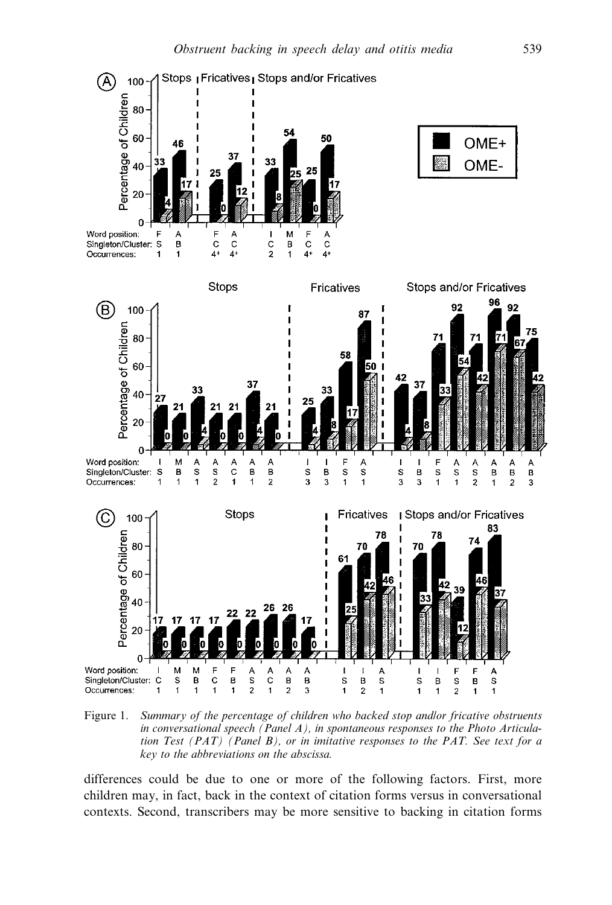

Figure 1. Summary of the percentage of children who backed stop andlor fricative obstruents in conversational speech (Panel  $A$ ), in spontaneous responses to the Photo Articulation Test (PAT) (Panel B), or in imitative responses to the PAT. See text for a key to the abbreviations on the abscissa.

differences could be due to one or more of the following factors. First, more children may, in fact, back in the context of citation forms versus in conversational contexts. Second, transcribers may be more sensitive to backing in citation forms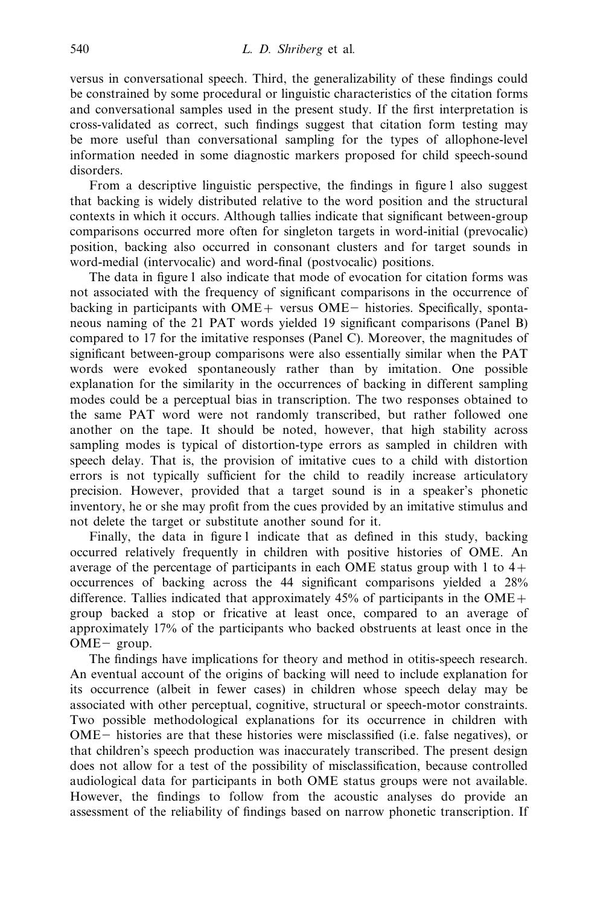versus in conversational speech. Third, the generalizability of these findings could be constrained by some procedural or linguistic characteristics of the citation forms and conversational samples used in the present study. If the first interpretation is cross-validated as correct, such findings suggest that citation form testing may be more useful than conversational sampling for the types of allophone-level information needed in some diagnostic markers proposed for child speech-sound disorders.

From a descriptive linguistic perspective, the findings in figure 1 also suggest that backing is widely distributed relative to the word position and the structural contexts in which it occurs. Although tallies indicate that significant between-group comparisons occurred more often for singleton targets in word-initial (prevocalic) position, backing also occurred in consonant clusters and for target sounds in word-medial (intervocalic) and word-final (postvocalic) positions.

The data in figure 1 also indicate that mode of evocation for citation forms was not associated with the frequency of significant comparisons in the occurrence of backing in participants with  $OME +$  versus  $OME -$  histories. Specifically, spontaneous naming of the 21 PAT words yielded 19 significant comparisons (Panel B) compared to 17 for the imitative responses (Panel C). Moreover, the magnitudes of significant between-group comparisons were also essentially similar when the PAT words were evoked spontaneously rather than by imitation. One possible explanation for the similarity in the occurrences of backing in different sampling modes could be a perceptual bias in transcription. The two responses obtained to the same PAT word were not randomly transcribed, but rather followed one another on the tape. It should be noted, however, that high stability across sampling modes is typical of distortion-type errors as sampled in children with speech delay. That is, the provision of imitative cues to a child with distortion errors is not typically sufficient for the child to readily increase articulatory precision. However, provided that a target sound is in a speaker's phonetic inventory, he or she may profit from the cues provided by an imitative stimulus and not delete the target or substitute another sound for it.

Finally, the data in figure 1 indicate that as defined in this study, backing occurred relatively frequently in children with positive histories of OME. An average of the percentage of participants in each OME status group with 1 to  $4+$ occurrences of backing across the 44 significant comparisons yielded a 28% difference. Tallies indicated that approximately  $45\%$  of participants in the OME+ group backed a stop or fricative at least once, compared to an average of approximately 17% of the participants who backed obstruents at least once in the  $OME-$  group.

The findings have implications for theory and method in otitis-speech research. An eventual account of the origins of backing will need to include explanation for its occurrence (albeit in fewer cases) in children whose speech delay may be associated with other perceptual, cognitive, structural or speech-motor constraints. Two possible methodological explanations for its occurrence in children with OME – histories are that these histories were misclassified (i.e. false negatives), or that children's speech production was inaccurately transcribed. The present design does not allow for a test of the possibility of misclassification, because controlled audiological data for participants in both OME status groups were not available. However, the findings to follow from the acoustic analyses do provide an assessment of the reliability of findings based on narrow phonetic transcription. If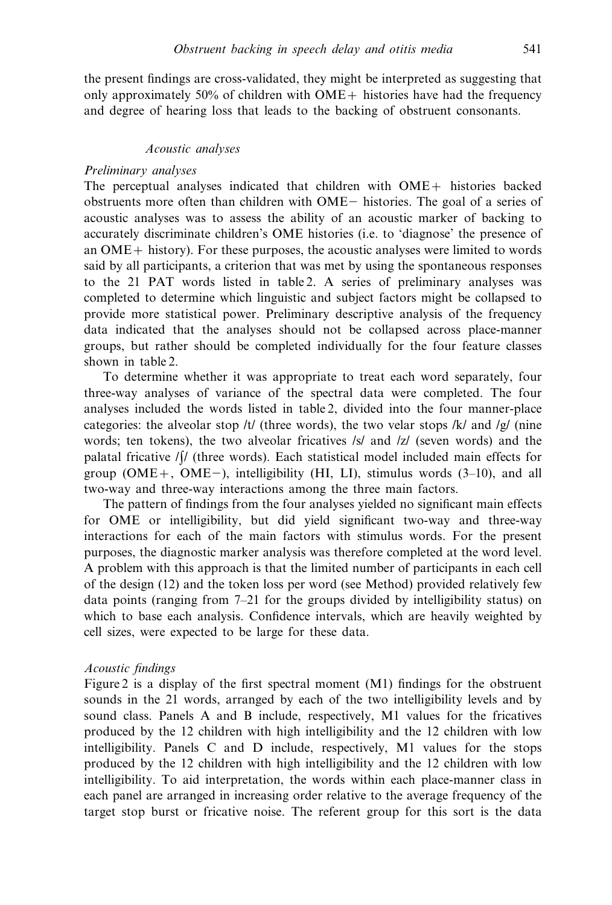the present findings are cross-validated, they might be interpreted as suggesting that only approximately 50% of children with  $\text{OME}$  + histories have had the frequency and degree of hearing loss that leads to the backing of obstruent consonants.

## Acoustic analyses

#### Preliminary analyses

The perceptual analyses indicated that children with  $OME +$  histories backed obstruents more often than children with OME- histories. The goal of a series of acoustic analyses was to assess the ability of an acoustic marker of backing to accurately discriminate children's OME histories (i.e. to 'diagnose' the presence of an  $OME +$  history). For these purposes, the acoustic analyses were limited to words said by all participants, a criterion that was met by using the spontaneous responses to the 21 PAT words listed in table 2. A series of preliminary analyses was completed to determine which linguistic and subject factors might be collapsed to provide more statistical power. Preliminary descriptive analysis of the frequency data indicated that the analyses should not be collapsed across place-manner groups, but rather should be completed individually for the four feature classes shown in table 2.

To determine whether it was appropriate to treat each word separately, four three-way analyses of variance of the spectral data were completed. The four analyses included the words listed in table 2, divided into the four manner-place categories: the alveolar stop /t/ (three words), the two velar stops /k/ and /g/ (nine words; ten tokens), the two alveolar fricatives /s/ and /z/ (seven words) and the palatal fricative  $\frac{1}{l}$  (three words). Each statistical model included main effects for group ( $\text{OME}$ +,  $\text{OME}$ -), intelligibility (HI, LI), stimulus words (3–10), and all two-way and three-way interactions among the three main factors.

The pattern of findings from the four analyses yielded no significant main effects for OME or intelligibility, but did yield significant two-way and three-way interactions for each of the main factors with stimulus words. For the present purposes, the diagnostic marker analysis was therefore completed at the word level. A problem with this approach is that the limited number of participants in each cell of the design (12) and the token loss per word (see Method) provided relatively few data points (ranging from 7–21 for the groups divided by intelligibility status) on which to base each analysis. Confidence intervals, which are heavily weighted by cell sizes, were expected to be large for these data.

## Acoustic findings

Figure 2 is a display of the first spectral moment (M1) findings for the obstruent sounds in the 21 words, arranged by each of the two intelligibility levels and by sound class. Panels A and B include, respectively, M1 values for the fricatives produced by the 12 children with high intelligibility and the 12 children with low intelligibility. Panels C and D include, respectively, M1 values for the stops produced by the 12 children with high intelligibility and the 12 children with low intelligibility. To aid interpretation, the words within each place-manner class in each panel are arranged in increasing order relative to the average frequency of the target stop burst or fricative noise. The referent group for this sort is the data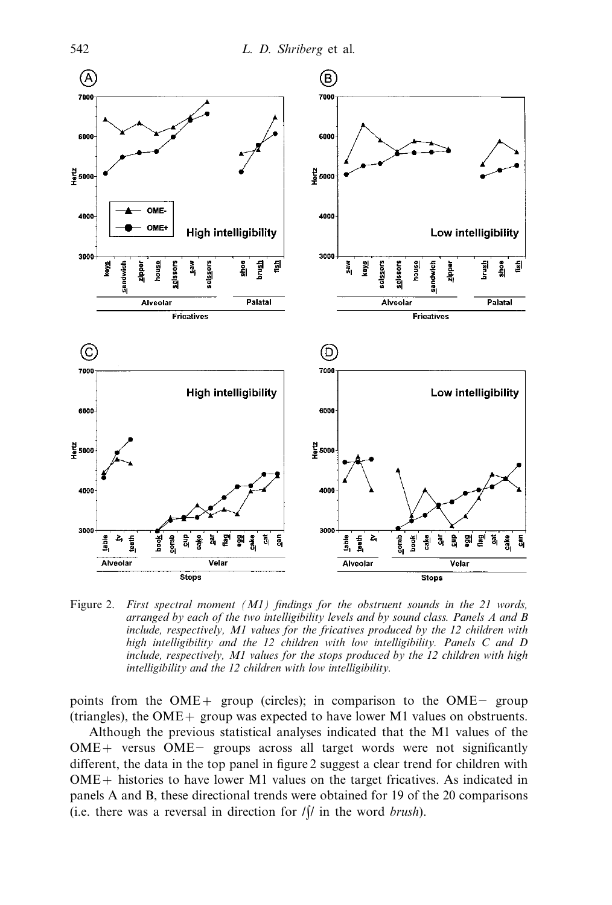

Figure 2. First spectral moment (M1) findings for the obstruent sounds in the 21 words, arranged by each of the two intelligibility levels and by sound class. Panels A and B include, respectively, M1 values for the fricatives produced by the 12 children with high intelligibility and the 12 children with low intelligibility. Panels C and D include, respectively, M1 values for the stops produced by the 12 children with high intelligibility and the 12 children with low intelligibility.

points from the OME+ group (circles); in comparison to the OME- group (triangles), the OME  $+$  group was expected to have lower M1 values on obstruents.

Although the previous statistical analyses indicated that the M1 values of the  $OME+$  versus  $OME-$  groups across all target words were not significantly different, the data in the top panel in figure 2 suggest a clear trend for children with  $OME +$  histories to have lower M1 values on the target fricatives. As indicated in panels A and B, these directional trends were obtained for 19 of the 20 comparisons (i.e. there was a reversal in direction for  $/ \frac{1}{\pi}$  in the word *brush*).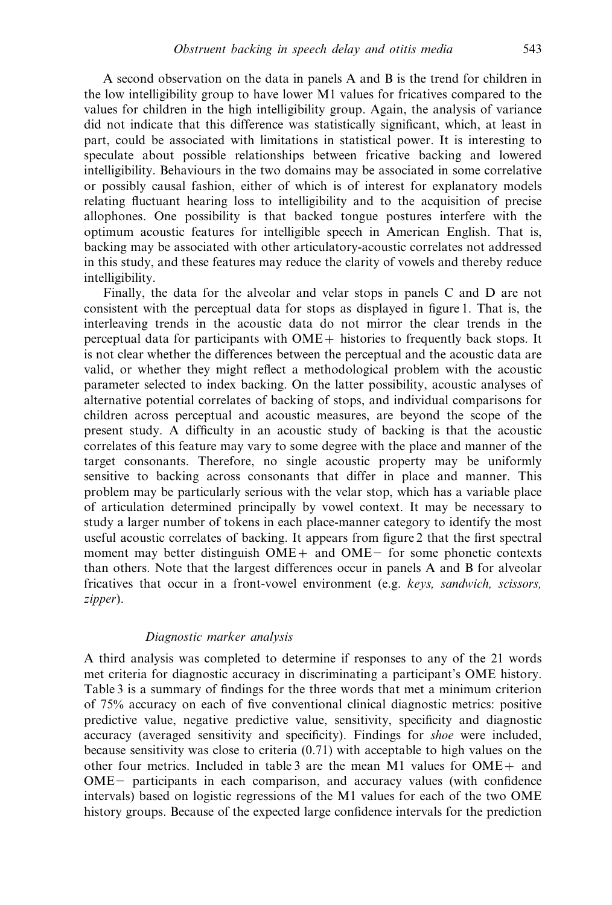A second observation on the data in panels A and B is the trend for children in the low intelligibility group to have lower M1 values for fricatives compared to the values for children in the high intelligibility group. Again, the analysis of variance did not indicate that this difference was statistically significant, which, at least in part, could be associated with limitations in statistical power. It is interesting to speculate about possible relationships between fricative backing and lowered intelligibility. Behaviours in the two domains may be associated in some correlative or possibly causal fashion, either of which is of interest for explanatory models relating fluctuant hearing loss to intelligibility and to the acquisition of precise allophones. One possibility is that backed tongue postures interfere with the optimum acoustic features for intelligible speech in American English. That is, backing may be associated with other articulatory-acoustic correlates not addressed in this study, and these features may reduce the clarity of vowels and thereby reduce intelligibility.

Finally, the data for the alveolar and velar stops in panels C and D are not consistent with the perceptual data for stops as displayed in figure 1. That is, the interleaving trends in the acoustic data do not mirror the clear trends in the perceptual data for participants with  $OME +$  histories to frequently back stops. It is not clear whether the differences between the perceptual and the acoustic data are valid, or whether they might reflect a methodological problem with the acoustic parameter selected to index backing. On the latter possibility, acoustic analyses of alternative potential correlates of backing of stops, and individual comparisons for children across perceptual and acoustic measures, are beyond the scope of the present study. A difficulty in an acoustic study of backing is that the acoustic correlates of this feature may vary to some degree with the place and manner of the target consonants. Therefore, no single acoustic property may be uniformly sensitive to backing across consonants that differ in place and manner. This problem may be particularly serious with the velar stop, which has a variable place of articulation determined principally by vowel context. It may be necessary to study a larger number of tokens in each place-manner category to identify the most useful acoustic correlates of backing. It appears from figure 2 that the first spectral moment may better distinguish  $OME+$  and  $OME-$  for some phonetic contexts than others. Note that the largest differences occur in panels A and B for alveolar fricatives that occur in a front-vowel environment (e.g. keys, sandwich, scissors, zipper).

## Diagnostic marker analysis

A third analysis was completed to determine if responses to any of the 21 words met criteria for diagnostic accuracy in discriminating a participant's OME history. Table 3 is a summary of findings for the three words that met a minimum criterion of 75% accuracy on each of five conventional clinical diagnostic metrics: positive predictive value, negative predictive value, sensitivity, specificity and diagnostic accuracy (averaged sensitivity and specificity). Findings for shoe were included, because sensitivity was close to criteria (0.71) with acceptable to high values on the other four metrics. Included in table 3 are the mean M1 values for  $OME+$  and OME- participants in each comparison, and accuracy values (with confidence intervals) based on logistic regressions of the M1 values for each of the two OME history groups. Because of the expected large confidence intervals for the prediction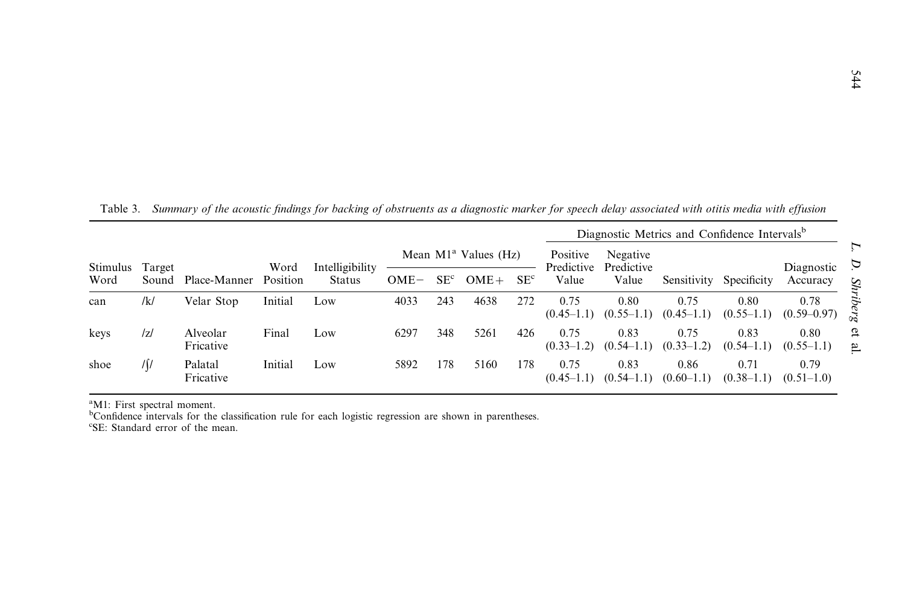|                  |                                                                                                                          |        |                 |                         |                 |                      |                        |                                                          |                        |                         | 544                                                |
|------------------|--------------------------------------------------------------------------------------------------------------------------|--------|-----------------|-------------------------|-----------------|----------------------|------------------------|----------------------------------------------------------|------------------------|-------------------------|----------------------------------------------------|
|                  | ic findings for backing of obstruents as a diagnostic marker for speech delay associated with otitis media with effusion |        |                 |                         |                 |                      |                        |                                                          |                        |                         |                                                    |
|                  |                                                                                                                          |        |                 |                         |                 |                      |                        | Diagnostic Metrics and Confidence Intervals <sup>b</sup> |                        |                         |                                                    |
|                  |                                                                                                                          |        |                 | Mean $M1^a$ Values (Hz) |                 | Positive             | Negative               |                                                          |                        |                         | Ļ.                                                 |
| Word<br>Position | Intelligibility<br><b>Status</b>                                                                                         | $OME-$ | SE <sup>c</sup> | $OME+$                  | SE <sup>c</sup> | Predictive<br>Value  | Predictive<br>Value    | Sensitivity                                              | Specificity            | Diagnostic<br>Accuracy  | p                                                  |
| Initial          | Low                                                                                                                      | 4033   | 243             | 4638                    | 272             | 0.75<br>$(0.45-1.1)$ | 0.80<br>$(0.55-1.1)$   | 0.75<br>$(0.45-1.1)$                                     | 0.80<br>$(0.55-1.1)$   | 0.78<br>$(0.59 - 0.97)$ |                                                    |
| Final            | Low                                                                                                                      | 6297   | 348             | 5261                    | 426             | 0.75<br>$(0.33-1.2)$ | 0.83<br>$(0.54 - 1.1)$ | 0.75<br>$(0.33-1.2)$                                     | 0.83<br>$(0.54 - 1.1)$ | 0.80<br>$(0.55-1.1)$    | <b>Shriberg</b><br>$\mathsf{et}$<br>$\overline{a}$ |

Table 3. Summary of the acoustic findings for backing of obstruents as <sup>a</sup> diagnostic marker for speech delay associated with otitis media with effusion

keys /z/ Alveolar

shoe  $/$  Palatal

Stimulus Target

Word

 $\rm ^{a}M1$ : First spectral moment.<br><sup>b</sup>Confidence intervals for the classification rule for each logistic regression are shown in parentheses.

**Initial** 

cSE: Standard error of the mean.

Sound Place-Manner Position

can /k/ Velar Stop Initial

Fricative

Fricative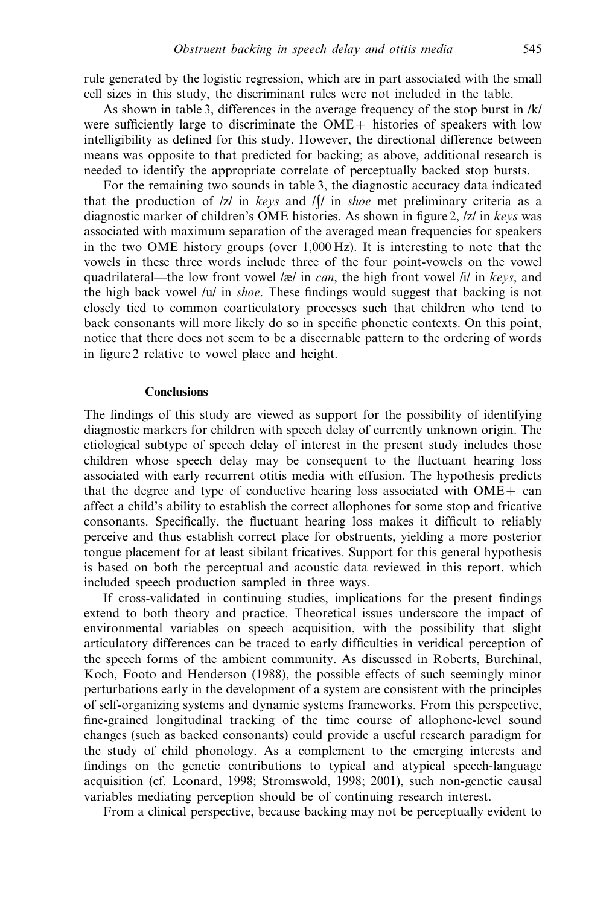rule generated by the logistic regression, which are in part associated with the small cell sizes in this study, the discriminant rules were not included in the table.

As shown in table 3, differences in the average frequency of the stop burst in /k/ were sufficiently large to discriminate the  $OME +$  histories of speakers with low intelligibility as defined for this study. However, the directional difference between means was opposite to that predicted for backing; as above, additional research is needed to identify the appropriate correlate of perceptually backed stop bursts.

For the remaining two sounds in table 3, the diagnostic accuracy data indicated that the production of  $|z|$  in keys and  $|f|$  in shoe met preliminary criteria as a diagnostic marker of children's OME histories. As shown in figure 2, /z/ in keys was associated with maximum separation of the averaged mean frequencies for speakers in the two OME history groups (over 1,000 Hz). It is interesting to note that the vowels in these three words include three of the four point-vowels on the vowel quadrilateral—the low front vowel /æ/ in can, the high front vowel /i/ in keys, and the high back vowel  $/u'$  in *shoe*. These findings would suggest that backing is not closely tied to common coarticulatory processes such that children who tend to back consonants will more likely do so in specific phonetic contexts. On this point, notice that there does not seem to be a discernable pattern to the ordering of words in figure 2 relative to vowel place and height.

#### **Conclusions**

The findings of this study are viewed as support for the possibility of identifying diagnostic markers for children with speech delay of currently unknown origin. The etiological subtype of speech delay of interest in the present study includes those children whose speech delay may be consequent to the fluctuant hearing loss associated with early recurrent otitis media with effusion. The hypothesis predicts that the degree and type of conductive hearing loss associated with  $OME + can$ affect a child's ability to establish the correct allophones for some stop and fricative consonants. Specifically, the fluctuant hearing loss makes it difficult to reliably perceive and thus establish correct place for obstruents, yielding a more posterior tongue placement for at least sibilant fricatives. Support for this general hypothesis is based on both the perceptual and acoustic data reviewed in this report, which included speech production sampled in three ways.

If cross-validated in continuing studies, implications for the present findings extend to both theory and practice. Theoretical issues underscore the impact of environmental variables on speech acquisition, with the possibility that slight articulatory differences can be traced to early difficulties in veridical perception of the speech forms of the ambient community. As discussed in Roberts, Burchinal, Koch, Footo and Henderson (1988), the possible effects of such seemingly minor perturbations early in the development of a system are consistent with the principles of self-organizing systems and dynamic systems frameworks. From this perspective, fine-grained longitudinal tracking of the time course of allophone-level sound changes (such as backed consonants) could provide a useful research paradigm for the study of child phonology. As a complement to the emerging interests and findings on the genetic contributions to typical and atypical speech-language acquisition (cf. Leonard, 1998; Stromswold, 1998; 2001), such non-genetic causal variables mediating perception should be of continuing research interest.

From a clinical perspective, because backing may not be perceptually evident to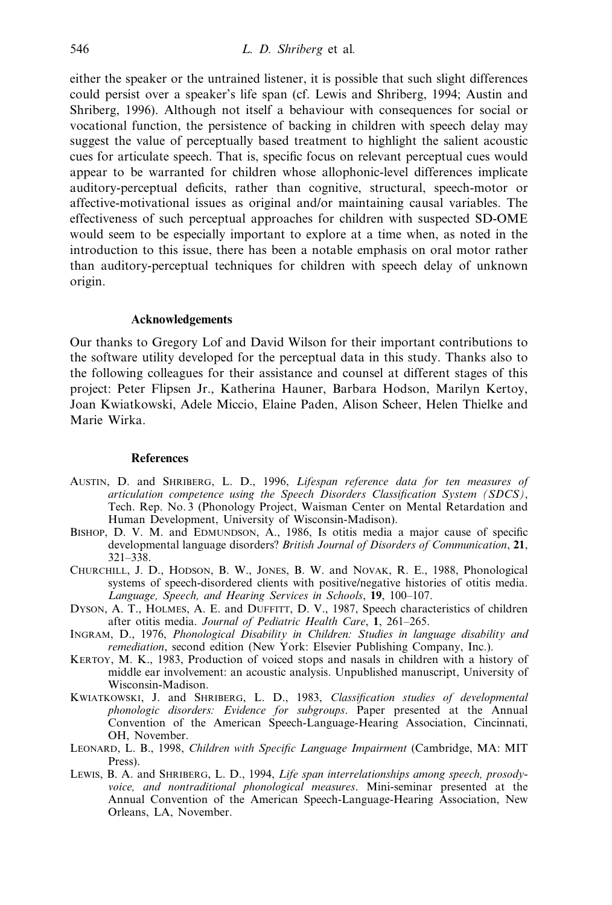either the speaker or the untrained listener, it is possible that such slight differences could persist over a speaker's life span (cf. Lewis and Shriberg, 1994; Austin and Shriberg, 1996). Although not itself a behaviour with consequences for social or vocational function, the persistence of backing in children with speech delay may suggest the value of perceptually based treatment to highlight the salient acoustic cues for articulate speech. That is, specific focus on relevant perceptual cues would appear to be warranted for children whose allophonic-level differences implicate auditory-perceptual deficits, rather than cognitive, structural, speech-motor or affective-motivational issues as original and/or maintaining causal variables. The effectiveness of such perceptual approaches for children with suspected SD-OME would seem to be especially important to explore at a time when, as noted in the introduction to this issue, there has been a notable emphasis on oral motor rather than auditory-perceptual techniques for children with speech delay of unknown origin.

## Acknowledgements

Our thanks to Gregory Lof and David Wilson for their important contributions to the software utility developed for the perceptual data in this study. Thanks also to the following colleagues for their assistance and counsel at different stages of this project: Peter Flipsen Jr., Katherina Hauner, Barbara Hodson, Marilyn Kertoy, Joan Kwiatkowski, Adele Miccio, Elaine Paden, Alison Scheer, Helen Thielke and Marie Wirka.

## References

- AUSTIN, D. and SHRIBERG, L. D., 1996, Lifespan reference data for ten measures of articulation competence using the Speech Disorders Classification System (SDCS), Tech. Rep. No. 3 (Phonology Project, Waisman Center on Mental Retardation and Human Development, University of Wisconsin-Madison).
- BISHOP, D. V. M. and EDMUNDSON, A., 1986, Is otitis media a major cause of specific developmental language disorders? British Journal of Disorders of Communication, 21, 321–338.
- CHURCHILL, J. D., HODSON, B. W., JONES, B. W. and NOVAK, R. E., 1988, Phonological systems of speech-disordered clients with positive/negative histories of otitis media. Language, Speech, and Hearing Services in Schools, 19, 100–107.
- DYSON, A. T., HOLMES, A. E. and DUFFITT, D. V., 1987, Speech characteristics of children after otitis media. Journal of Pediatric Health Care, 1, 261–265.
- INGRAM, D., 1976, Phonological Disability in Children: Studies in language disability and remediation, second edition (New York: Elsevier Publishing Company, Inc.).
- KERTOY, M. K., 1983, Production of voiced stops and nasals in children with a history of middle ear involvement: an acoustic analysis. Unpublished manuscript, University of Wisconsin-Madison.
- KWIATKOWSKI, J. and SHRIBERG, L. D., 1983, Classification studies of developmental phonologic disorders: Evidence for subgroups. Paper presented at the Annual Convention of the American Speech-Language-Hearing Association, Cincinnati, OH, November.
- LEONARD, L. B., 1998, Children with Specific Language Impairment (Cambridge, MA: MIT Press).
- LEWIS, B. A. and SHRIBERG, L. D., 1994, Life span interrelationships among speech, prosodyvoice, and nontraditional phonological measures. Mini-seminar presented at the Annual Convention of the American Speech-Language-Hearing Association, New Orleans, LA, November.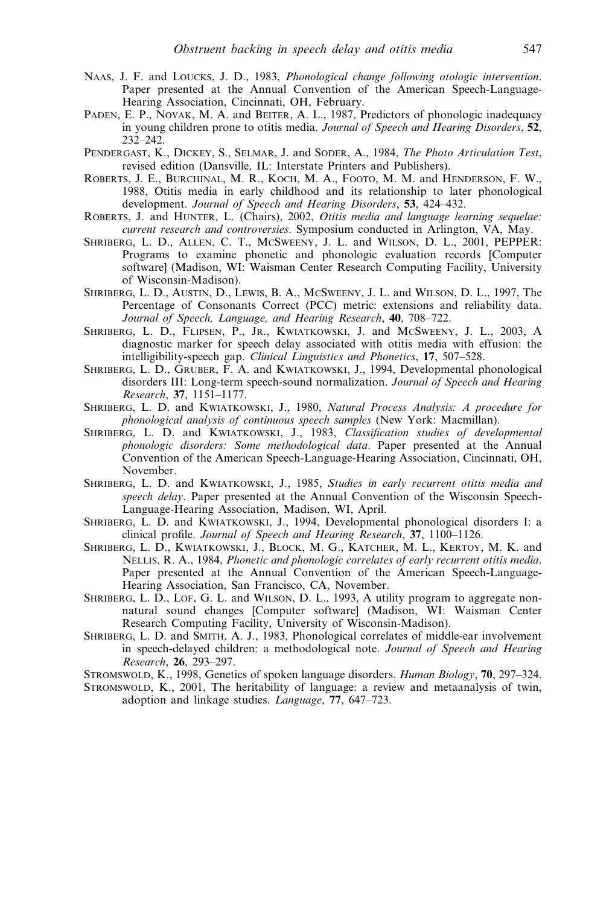- NAAS, J. F. and LOUCKS, J. D., 1983, Phonological change following otologic intervention. Paper presented at the Annual Convention of the American Speech-Language-Hearing Association, Cincinnati, OH, February.
- PADEN, E. P., NOVAK, M. A. and BEITER, A. L., 1987, Predictors of phonologic inadequacy in young children prone to otitis media. Journal of Speech and Hearing Disorders, 52, 232–242.
- PENDERGAST, K., DICKEY, S., SELMAR, J. and SODER, A., 1984, The Photo Articulation Test, revised edition (Dansville, IL: Interstate Printers and Publishers).
- ROBERTS, J. E., BURCHINAL, M. R., KOCH, M. A., FOOTO, M. M. and HENDERSON, F. W., 1988, Otitis media in early childhood and its relationship to later phonological development. Journal of Speech and Hearing Disorders, 53, 424-432.
- ROBERTS, J. and HUNTER, L. (Chairs), 2002, Otitis media and language learning sequelae: current research and controversies. Symposium conducted in Arlington, VA, May.
- SHRIBERG, L. D., ALLEN, C. T., MCSWEENY, J. L. and WILSON, D. L., 2001, PEPPER: Programs to examine phonetic and phonologic evaluation records [Computer software] (Madison, WI: Waisman Center Research Computing Facility, University of Wisconsin-Madison).
- SHRIBERG, L. D., AUSTIN, D., LEWIS, B. A., MCSWEENY, J. L. and WILSON, D. L., 1997, The Percentage of Consonants Correct (PCC) metric: extensions and reliability data. Journal of Speech, Language, and Hearing Research, 40, 708–722.
- SHRIBERG, L. D., FLIPSEN, P., JR., KWIATKOWSKI, J. and MCSWEENY, J. L., 2003, A diagnostic marker for speech delay associated with otitis media with effusion: the intelligibility-speech gap. Clinical Linguistics and Phonetics, 17, 507-528.
- SHRIBERG, L. D., GRUBER, F. A. and KWIATKOWSKI, J., 1994, Developmental phonological disorders III: Long-term speech-sound normalization. Journal of Speech and Hearing Research, 37, 1151–1177.
- SHRIBERG, L. D. and KWIATKOWSKI, J., 1980, Natural Process Analysis: A procedure for phonological analysis of continuous speech samples (New York: Macmillan).
- SHRIBERG, L. D. and KWIATKOWSKI, J., 1983, Classification studies of developmental phonologic disorders: Some methodological data. Paper presented at the Annual Convention of the American Speech-Language-Hearing Association, Cincinnati, OH, November.
- SHRIBERG, L. D. and KWIATKOWSKI, J., 1985, Studies in early recurrent otitis media and speech delay. Paper presented at the Annual Convention of the Wisconsin Speech-Language-Hearing Association, Madison, WI, April.
- SHRIBERG, L. D. and KWIATKOWSKI, J., 1994, Developmental phonological disorders I: a clinical profile. Journal of Speech and Hearing Research, 37, 1100–1126.
- SHRIBERG, L. D., KWIATKOWSKI, J., BLOCK, M. G., KATCHER, M. L., KERTOY, M. K. and NELLIS, R. A., 1984, Phonetic and phonologic correlates of early recurrent otitis media. Paper presented at the Annual Convention of the American Speech-Language-Hearing Association, San Francisco, CA, November.
- SHRIBERG, L. D., LOF, G. L. and WILSON, D. L., 1993, A utility program to aggregate nonnatural sound changes [Computer software] (Madison, WI: Waisman Center Research Computing Facility, University of Wisconsin-Madison).
- SHRIBERG, L. D. and SMITH, A. J., 1983, Phonological correlates of middle-ear involvement in speech-delayed children: a methodological note. Journal of Speech and Hearing Research, 26, 293–297.

STROMSWOLD, K., 1998, Genetics of spoken language disorders. Human Biology, 70, 297–324.

STROMSWOLD, K., 2001, The heritability of language: a review and metaanalysis of twin, adoption and linkage studies. Language, 77, 647–723.